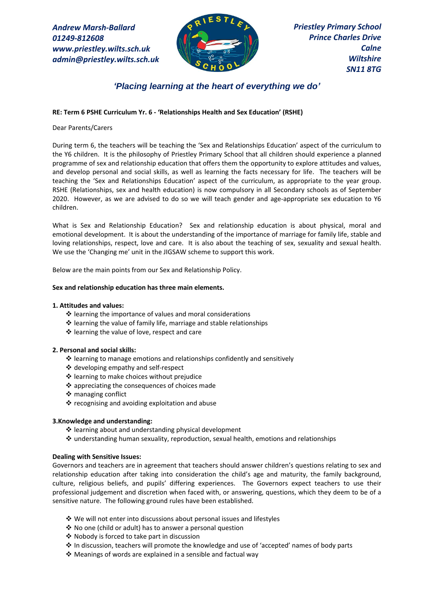*Andrew Marsh-Ballard 01249-812608 www.priestley.wilts.sch.uk admin@priestley.wilts.sch.uk* 



*Priestley Primary School Prince Charles Drive Calne Wiltshire SN11 8TG*

# *'Placing learning at the heart of everything we do'*

## **RE: Term 6 PSHE Curriculum Yr. 6 - 'Relationships Health and Sex Education' (RSHE)**

### Dear Parents/Carers

During term 6, the teachers will be teaching the 'Sex and Relationships Education' aspect of the curriculum to the Y6 children. It is the philosophy of Priestley Primary School that all children should experience a planned programme of sex and relationship education that offers them the opportunity to explore attitudes and values, and develop personal and social skills, as well as learning the facts necessary for life. The teachers will be teaching the 'Sex and Relationships Education' aspect of the curriculum, as appropriate to the year group. RSHE (Relationships, sex and health education) is now compulsory in all Secondary schools as of September 2020. However, as we are advised to do so we will teach gender and age-appropriate sex education to Y6 children.

What is Sex and Relationship Education? Sex and relationship education is about physical, moral and emotional development. It is about the understanding of the importance of marriage for family life, stable and loving relationships, respect, love and care. It is also about the teaching of sex, sexuality and sexual health. We use the 'Changing me' unit in the JIGSAW scheme to support this work.

Below are the main points from our Sex and Relationship Policy.

#### **Sex and relationship education has three main elements.**

#### **1. Attitudes and values:**

- ❖ learning the importance of values and moral considerations
- ❖ learning the value of family life, marriage and stable relationships
- ❖ learning the value of love, respect and care

## **2. Personal and social skills:**

- ❖ learning to manage emotions and relationships confidently and sensitively
- ❖ developing empathy and self-respect
- ❖ learning to make choices without prejudice
- ❖ appreciating the consequences of choices made
- ❖ managing conflict
- ❖ recognising and avoiding exploitation and abuse

## **3.Knowledge and understanding:**

- ❖ learning about and understanding physical development
- ❖ understanding human sexuality, reproduction, sexual health, emotions and relationships

#### **Dealing with Sensitive Issues:**

Governors and teachers are in agreement that teachers should answer children's questions relating to sex and relationship education after taking into consideration the child's age and maturity, the family background, culture, religious beliefs, and pupils' differing experiences. The Governors expect teachers to use their professional judgement and discretion when faced with, or answering, questions, which they deem to be of a sensitive nature. The following ground rules have been established.

- ❖ We will not enter into discussions about personal issues and lifestyles
- ❖ No one (child or adult) has to answer a personal question
- ❖ Nobody is forced to take part in discussion
- ❖ In discussion, teachers will promote the knowledge and use of 'accepted' names of body parts
- ❖ Meanings of words are explained in a sensible and factual way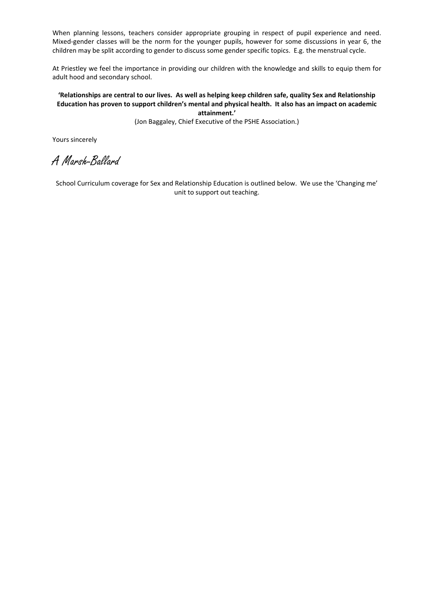When planning lessons, teachers consider appropriate grouping in respect of pupil experience and need. Mixed-gender classes will be the norm for the younger pupils, however for some discussions in year 6, the children may be split according to gender to discuss some gender specific topics. E.g. the menstrual cycle.

At Priestley we feel the importance in providing our children with the knowledge and skills to equip them for adult hood and secondary school.

## **'Relationships are central to our lives. As well as helping keep children safe, quality Sex and Relationship Education has proven to support children's mental and physical health. It also has an impact on academic attainment.'**

(Jon Baggaley, Chief Executive of the PSHE Association.)

Yours sincerely

A Marsh-Ballard

School Curriculum coverage for Sex and Relationship Education is outlined below. We use the 'Changing me' unit to support out teaching.